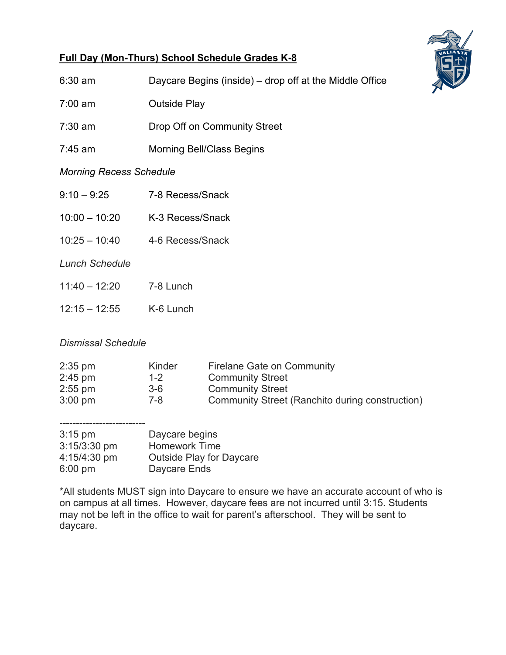## **Full Day (Mon-Thurs) School Schedule Grades K-8**

| $6:30$ am                      | Daycare Begins (inside) – drop off at the Middle Office |  |
|--------------------------------|---------------------------------------------------------|--|
| $7:00$ am                      | <b>Outside Play</b>                                     |  |
| $7:30$ am                      | Drop Off on Community Street                            |  |
| $7:45$ am                      | <b>Morning Bell/Class Begins</b>                        |  |
| <b>Morning Recess Schedule</b> |                                                         |  |
| $9:10 - 9:25$                  | 7-8 Recess/Snack                                        |  |
| $10:00 - 10:20$                | K-3 Recess/Snack                                        |  |
| $10:25 - 10:40$                | 4-6 Recess/Snack                                        |  |
| <b>Lunch Schedule</b>          |                                                         |  |
| $11:40 - 12:20$                | 7-8 Lunch                                               |  |
| $12:15 - 12:55$                | K-6 Lunch                                               |  |

*Dismissal Schedule* 

| Kinder  | <b>Firelane Gate on Community</b>               |
|---------|-------------------------------------------------|
| $1 - 2$ | <b>Community Street</b>                         |
| $3-6$   | <b>Community Street</b>                         |
| 7-8     | Community Street (Ranchito during construction) |
|         |                                                 |

| $3:15$ pm      | Daycare begins                  |
|----------------|---------------------------------|
| $3:15/3:30$ pm | <b>Homework Time</b>            |
| 4:15/4:30 pm   | <b>Outside Play for Daycare</b> |
| $6:00$ pm      | Daycare Ends                    |

\*All students MUST sign into Daycare to ensure we have an accurate account of who is on campus at all times. However, daycare fees are not incurred until 3:15. Students may not be left in the office to wait for parent's afterschool. They will be sent to daycare.